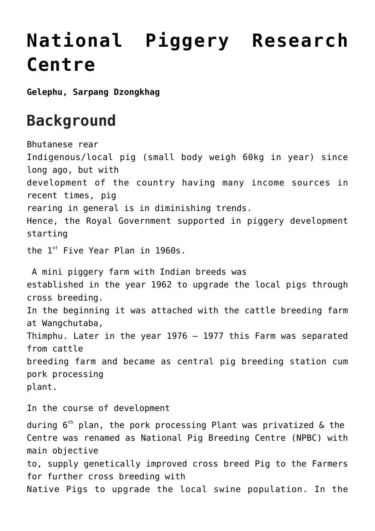# **[National Piggery Research](https://www.dol.gov.bt/national-piggery-development-centre/) [Centre](https://www.dol.gov.bt/national-piggery-development-centre/)**

**Gelephu, Sarpang Dzongkhag**

## **Background**

Bhutanese rear Indigenous/local pig (small body weigh 60kg in year) since long ago, but with development of the country having many income sources in recent times, pig rearing in general is in diminishing trends. Hence, the Royal Government supported in piggery development starting the  $1^{st}$  Five Year Plan in 1960s. A mini piggery farm with Indian breeds was established in the year 1962 to upgrade the local pigs through cross breeding. In the beginning it was attached with the cattle breeding farm at Wangchutaba, Thimphu. Later in the year 1976 – 1977 this Farm was separated from cattle breeding farm and became as central pig breeding station cum pork processing plant. In the course of development

during  $6<sup>th</sup>$  plan, the pork processing Plant was privatized & the Centre was renamed as National Pig Breeding Centre (NPBC) with main objective to, supply genetically improved cross breed Pig to the Farmers for further cross breeding with Native Pigs to upgrade the local swine population. In the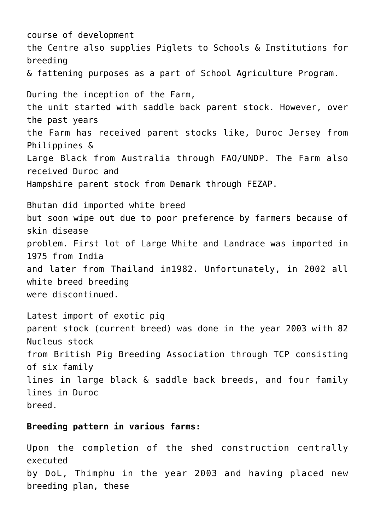course of development the Centre also supplies Piglets to Schools & Institutions for breeding & fattening purposes as a part of School Agriculture Program. During the inception of the Farm, the unit started with saddle back parent stock. However, over the past years the Farm has received parent stocks like, Duroc Jersey from Philippines & Large Black from Australia through FAO/UNDP. The Farm also received Duroc and Hampshire parent stock from Demark through FEZAP. Bhutan did imported white breed but soon wipe out due to poor preference by farmers because of skin disease problem. First lot of Large White and Landrace was imported in 1975 from India and later from Thailand in1982. Unfortunately, in 2002 all white breed breeding were discontinued. Latest import of exotic pig parent stock (current breed) was done in the year 2003 with 82 Nucleus stock from British Pig Breeding Association through TCP consisting of six family lines in large black & saddle back breeds, and four family lines in Duroc breed.

#### **Breeding pattern in various farms:**

Upon the completion of the shed construction centrally executed by DoL, Thimphu in the year 2003 and having placed new breeding plan, these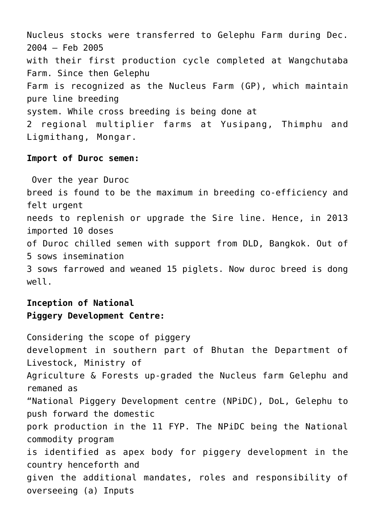Nucleus stocks were transferred to Gelephu Farm during Dec. 2004 – Feb 2005 with their first production cycle completed at Wangchutaba Farm. Since then Gelephu Farm is recognized as the Nucleus Farm (GP), which maintain pure line breeding system. While cross breeding is being done at 2 regional multiplier farms at Yusipang, Thimphu and Ligmithang, Mongar.

#### **Import of Duroc semen:**

 Over the year Duroc breed is found to be the maximum in breeding co-efficiency and felt urgent needs to replenish or upgrade the Sire line. Hence, in 2013 imported 10 doses of Duroc chilled semen with support from DLD, Bangkok. Out of 5 sows insemination 3 sows farrowed and weaned 15 piglets. Now duroc breed is dong well.

#### **Inception of National Piggery Development Centre:**

Considering the scope of piggery development in southern part of Bhutan the Department of Livestock, Ministry of Agriculture & Forests up-graded the Nucleus farm Gelephu and remaned as "National Piggery Development centre (NPiDC), DoL, Gelephu to push forward the domestic pork production in the 11 FYP. The NPiDC being the National commodity program is identified as apex body for piggery development in the country henceforth and given the additional mandates, roles and responsibility of overseeing (a) Inputs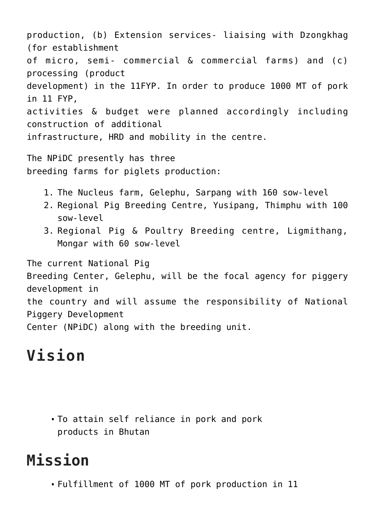production, (b) Extension services- liaising with Dzongkhag (for establishment of micro, semi- commercial & commercial farms) and (c) processing (product development) in the 11FYP. In order to produce 1000 MT of pork in 11 FYP, activities & budget were planned accordingly including construction of additional infrastructure, HRD and mobility in the centre.

The NPiDC presently has three breeding farms for piglets production:

- 1. The Nucleus farm, Gelephu, Sarpang with 160 sow-level
- 2. Regional Pig Breeding Centre, Yusipang, Thimphu with 100 sow-level
- 3. Regional Pig & Poultry Breeding centre, Ligmithang, Mongar with 60 sow-level

The current National Pig Breeding Center, Gelephu, will be the focal agency for piggery development in the country and will assume the responsibility of National Piggery Development Center (NPiDC) along with the breeding unit.

# **Vision**

To attain self reliance in pork and pork products in Bhutan

## **Mission**

Fulfillment of 1000 MT of pork production in 11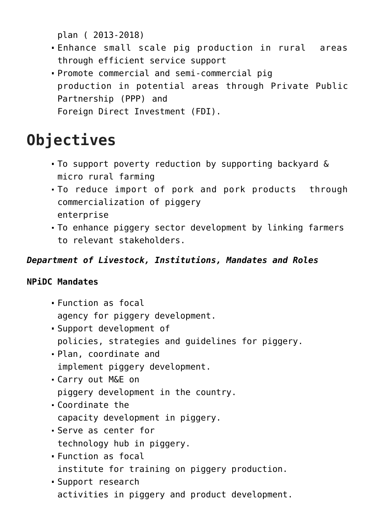plan ( 2013-2018)

- Enhance small scale pig production in rural areas through efficient service support
- Promote commercial and semi-commercial pig production in potential areas through Private Public Partnership (PPP) and Foreign Direct Investment (FDI).

# **Objectives**

- To support poverty reduction by supporting backyard & micro rural farming
- To reduce import of pork and pork products through commercialization of piggery enterprise
- To enhance piggery sector development by linking farmers to relevant stakeholders.

### *Department of Livestock, Institutions, Mandates and Roles*

#### **NPiDC Mandates**

- Function as focal agency for piggery development.
- Support development of policies, strategies and guidelines for piggery.
- Plan, coordinate and implement piggery development.
- Carry out M&E on piggery development in the country.
- Coordinate the capacity development in piggery.
- Serve as center for technology hub in piggery.
- Function as focal institute for training on piggery production.
- Support research activities in piggery and product development.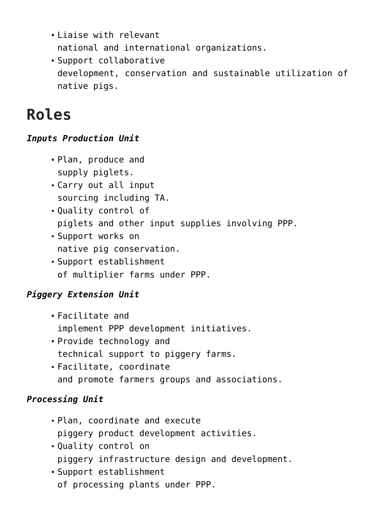- Liaise with relevant national and international organizations.
- Support collaborative development, conservation and sustainable utilization of native pigs.

# **Roles**

### *Inputs Production Unit*

- Plan, produce and supply piglets.
- Carry out all input sourcing including TA.
- Quality control of piglets and other input supplies involving PPP.
- Support works on native pig conservation.
- Support establishment of multiplier farms under PPP.

## *Piggery Extension Unit*

- Facilitate and implement PPP development initiatives.
- Provide technology and technical support to piggery farms.
- Facilitate, coordinate and promote farmers groups and associations.

## *Processing Unit*

- Plan, coordinate and execute piggery product development activities.
- Quality control on piggery infrastructure design and development.
- Support establishment of processing plants under PPP.